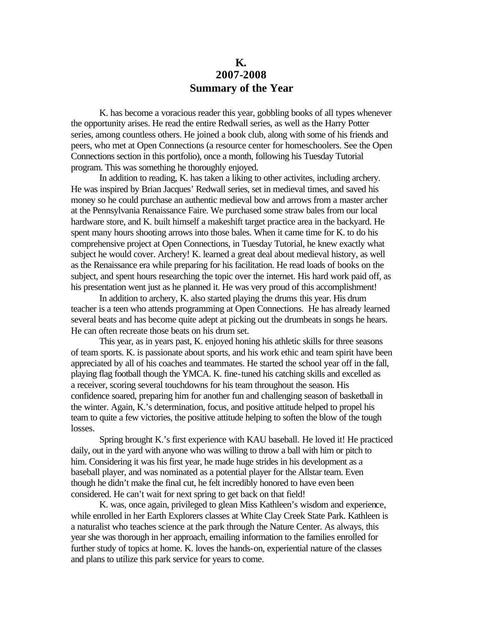## **K. 2007-2008 Summary of the Year**

K. has become a voracious reader this year, gobbling books of all types whenever the opportunity arises. He read the entire Redwall series, as well as the Harry Potter series, among countless others. He joined a book club, along with some of his friends and peers, who met at Open Connections (a resource center for homeschoolers. See the Open Connections section in this portfolio), once a month, following his Tuesday Tutorial program. This was something he thoroughly enjoyed.

In addition to reading, K. has taken a liking to other activites, including archery. He was inspired by Brian Jacques' Redwall series, set in medieval times, and saved his money so he could purchase an authentic medieval bow and arrows from a master archer at the Pennsylvania Renaissance Faire. We purchased some straw bales from our local hardware store, and K. built himself a makeshift target practice area in the backyard. He spent many hours shooting arrows into those bales. When it came time for K. to do his comprehensive project at Open Connections, in Tuesday Tutorial, he knew exactly what subject he would cover. Archery! K. learned a great deal about medieval history, as well as the Renaissance era while preparing for his facilitation. He read loads of books on the subject, and spent hours researching the topic over the internet. His hard work paid off, as his presentation went just as he planned it. He was very proud of this accomplishment!

In addition to archery, K. also started playing the drums this year. His drum teacher is a teen who attends programming at Open Connections. He has already learned several beats and has become quite adept at picking out the drumbeats in songs he hears. He can often recreate those beats on his drum set.

This year, as in years past, K. enjoyed honing his athletic skills for three seasons of team sports. K. is passionate about sports, and his work ethic and team spirit have been appreciated by all of his coaches and teammates. He started the school year off in the fall, playing flag football though the YMCA. K. fine-tuned his catching skills and excelled as a receiver, scoring several touchdowns for his team throughout the season. His confidence soared, preparing him for another fun and challenging season of basketball in the winter. Again, K.'s determination, focus, and positive attitude helped to propel his team to quite a few victories, the positive attitude helping to soften the blow of the tough losses.

Spring brought K.'s first experience with KAU baseball. He loved it! He practiced daily, out in the yard with anyone who was willing to throw a ball with him or pitch to him. Considering it was his first year, he made huge strides in his development as a baseball player, and was nominated as a potential player for the Allstar team. Even though he didn't make the final cut, he felt incredibly honored to have even been considered. He can't wait for next spring to get back on that field!

K. was, once again, privileged to glean Miss Kathleen's wisdom and experience, while enrolled in her Earth Explorers classes at White Clay Creek State Park. Kathleen is a naturalist who teaches science at the park through the Nature Center. As always, this year she was thorough in her approach, emailing information to the families enrolled for further study of topics at home. K. loves the hands-on, experiential nature of the classes and plans to utilize this park service for years to come.